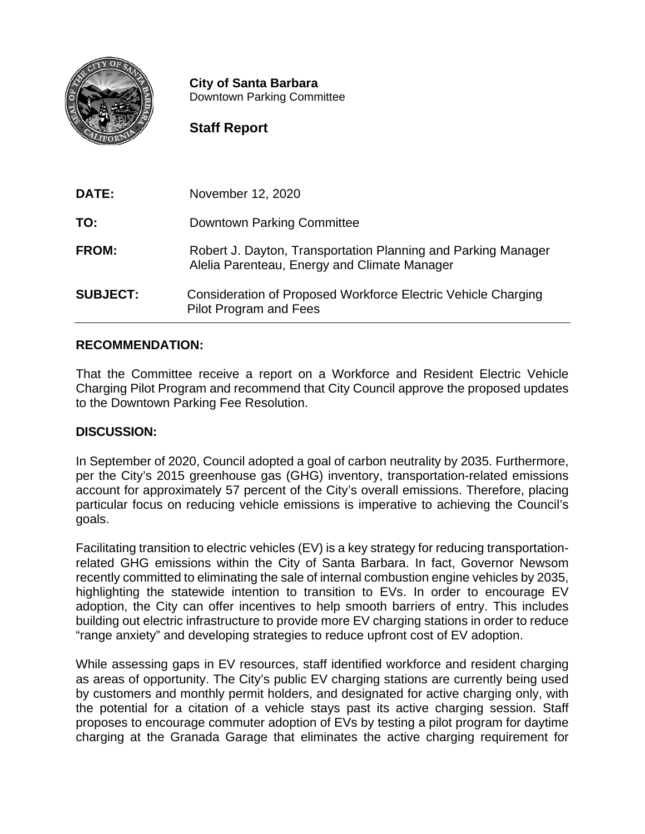

**City of Santa Barbara** Downtown Parking Committee

## **Staff Report**

| DATE:           | November 12, 2020                                                                                             |
|-----------------|---------------------------------------------------------------------------------------------------------------|
| TO:             | <b>Downtown Parking Committee</b>                                                                             |
| <b>FROM:</b>    | Robert J. Dayton, Transportation Planning and Parking Manager<br>Alelia Parenteau, Energy and Climate Manager |
| <b>SUBJECT:</b> | <b>Consideration of Proposed Workforce Electric Vehicle Charging</b><br>Pilot Program and Fees                |

### **RECOMMENDATION:**

That the Committee receive a report on a Workforce and Resident Electric Vehicle Charging Pilot Program and recommend that City Council approve the proposed updates to the Downtown Parking Fee Resolution.

#### **DISCUSSION:**

In September of 2020, Council adopted a goal of carbon neutrality by 2035. Furthermore, per the City's 2015 greenhouse gas (GHG) inventory, transportation-related emissions account for approximately 57 percent of the City's overall emissions. Therefore, placing particular focus on reducing vehicle emissions is imperative to achieving the Council's goals.

Facilitating transition to electric vehicles (EV) is a key strategy for reducing transportationrelated GHG emissions within the City of Santa Barbara. In fact, Governor Newsom recently committed to eliminating the sale of internal combustion engine vehicles by 2035, highlighting the statewide intention to transition to EVs. In order to encourage EV adoption, the City can offer incentives to help smooth barriers of entry. This includes building out electric infrastructure to provide more EV charging stations in order to reduce "range anxiety" and developing strategies to reduce upfront cost of EV adoption.

While assessing gaps in EV resources, staff identified workforce and resident charging as areas of opportunity. The City's public EV charging stations are currently being used by customers and monthly permit holders, and designated for active charging only, with the potential for a citation of a vehicle stays past its active charging session. Staff proposes to encourage commuter adoption of EVs by testing a pilot program for daytime charging at the Granada Garage that eliminates the active charging requirement for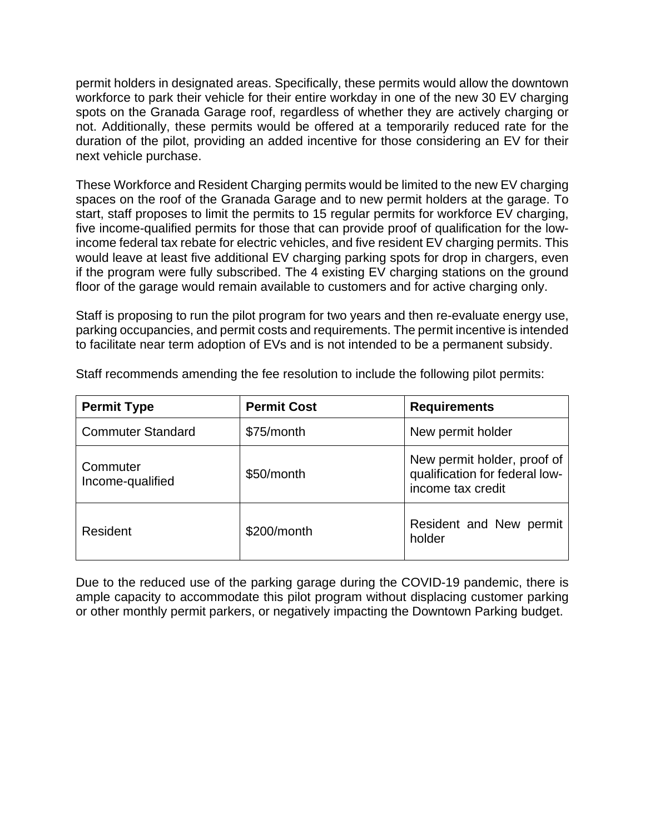permit holders in designated areas. Specifically, these permits would allow the downtown workforce to park their vehicle for their entire workday in one of the new 30 EV charging spots on the Granada Garage roof, regardless of whether they are actively charging or not. Additionally, these permits would be offered at a temporarily reduced rate for the duration of the pilot, providing an added incentive for those considering an EV for their next vehicle purchase.

These Workforce and Resident Charging permits would be limited to the new EV charging spaces on the roof of the Granada Garage and to new permit holders at the garage. To start, staff proposes to limit the permits to 15 regular permits for workforce EV charging, five income-qualified permits for those that can provide proof of qualification for the lowincome federal tax rebate for electric vehicles, and five resident EV charging permits. This would leave at least five additional EV charging parking spots for drop in chargers, even if the program were fully subscribed. The 4 existing EV charging stations on the ground floor of the garage would remain available to customers and for active charging only.

Staff is proposing to run the pilot program for two years and then re-evaluate energy use, parking occupancies, and permit costs and requirements. The permit incentive is intended to facilitate near term adoption of EVs and is not intended to be a permanent subsidy.

| <b>Permit Type</b>           | <b>Permit Cost</b> | <b>Requirements</b>                                                                |
|------------------------------|--------------------|------------------------------------------------------------------------------------|
| <b>Commuter Standard</b>     | \$75/month         | New permit holder                                                                  |
| Commuter<br>Income-qualified | \$50/month         | New permit holder, proof of<br>qualification for federal low-<br>income tax credit |
| Resident                     | \$200/month        | Resident and New permit<br>holder                                                  |

Staff recommends amending the fee resolution to include the following pilot permits:

Due to the reduced use of the parking garage during the COVID-19 pandemic, there is ample capacity to accommodate this pilot program without displacing customer parking or other monthly permit parkers, or negatively impacting the Downtown Parking budget.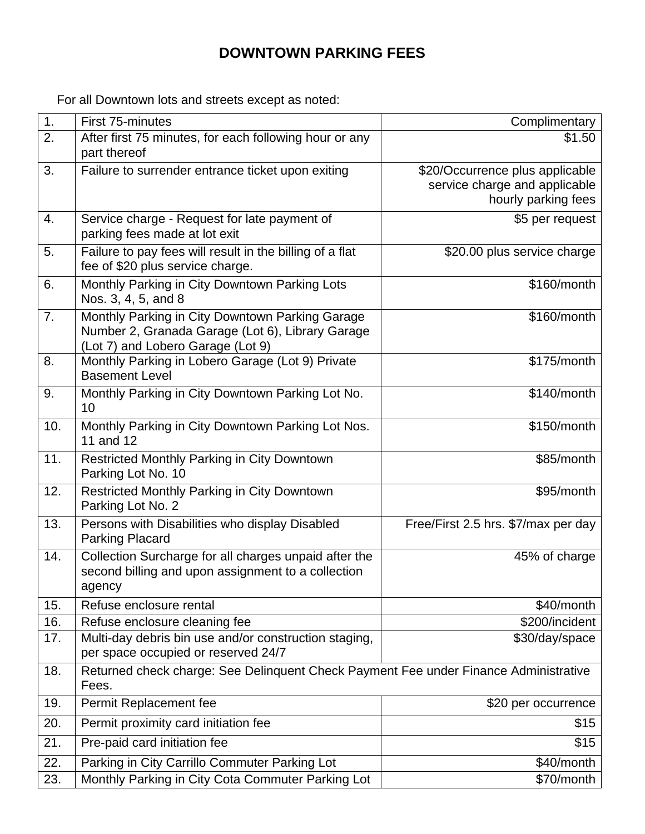# **DOWNTOWN PARKING FEES**

For all Downtown lots and streets except as noted:

| 1.  | First 75-minutes                                                                     | Complimentary                       |
|-----|--------------------------------------------------------------------------------------|-------------------------------------|
| 2.  | After first 75 minutes, for each following hour or any                               | \$1.50                              |
|     | part thereof                                                                         |                                     |
| 3.  | Failure to surrender entrance ticket upon exiting                                    | \$20/Occurrence plus applicable     |
|     |                                                                                      | service charge and applicable       |
|     |                                                                                      | hourly parking fees                 |
| 4.  | Service charge - Request for late payment of                                         | \$5 per request                     |
|     | parking fees made at lot exit                                                        |                                     |
| 5.  | Failure to pay fees will result in the billing of a flat                             | \$20.00 plus service charge         |
|     | fee of \$20 plus service charge.                                                     |                                     |
| 6.  | Monthly Parking in City Downtown Parking Lots                                        | \$160/month                         |
|     | Nos. 3, 4, 5, and 8                                                                  |                                     |
| 7.  | Monthly Parking in City Downtown Parking Garage                                      | \$160/month                         |
|     | Number 2, Granada Garage (Lot 6), Library Garage                                     |                                     |
| 8.  | (Lot 7) and Lobero Garage (Lot 9)                                                    | \$175/month                         |
|     | Monthly Parking in Lobero Garage (Lot 9) Private<br><b>Basement Level</b>            |                                     |
| 9.  |                                                                                      | \$140/month                         |
|     | Monthly Parking in City Downtown Parking Lot No.<br>10                               |                                     |
| 10. |                                                                                      | \$150/month                         |
|     | Monthly Parking in City Downtown Parking Lot Nos.<br>11 and 12                       |                                     |
| 11. | Restricted Monthly Parking in City Downtown                                          | \$85/month                          |
|     | Parking Lot No. 10                                                                   |                                     |
| 12. | Restricted Monthly Parking in City Downtown                                          | \$95/month                          |
|     | Parking Lot No. 2                                                                    |                                     |
| 13. | Persons with Disabilities who display Disabled                                       | Free/First 2.5 hrs. \$7/max per day |
|     | <b>Parking Placard</b>                                                               |                                     |
| 14. | Collection Surcharge for all charges unpaid after the                                | 45% of charge                       |
|     | second billing and upon assignment to a collection                                   |                                     |
|     | agency                                                                               |                                     |
| 15. | Refuse enclosure rental                                                              | \$40/month                          |
| 16. | Refuse enclosure cleaning fee                                                        | \$200/incident                      |
| 17. | Multi-day debris bin use and/or construction staging,                                | \$30/day/space                      |
|     | per space occupied or reserved 24/7                                                  |                                     |
| 18. | Returned check charge: See Delinquent Check Payment Fee under Finance Administrative |                                     |
|     | Fees.                                                                                |                                     |
| 19. | Permit Replacement fee                                                               | \$20 per occurrence                 |
| 20. | Permit proximity card initiation fee                                                 | \$15                                |
| 21. | Pre-paid card initiation fee                                                         | \$15                                |
| 22. | Parking in City Carrillo Commuter Parking Lot                                        | \$40/month                          |
| 23. | Monthly Parking in City Cota Commuter Parking Lot                                    | \$70/month                          |
|     |                                                                                      |                                     |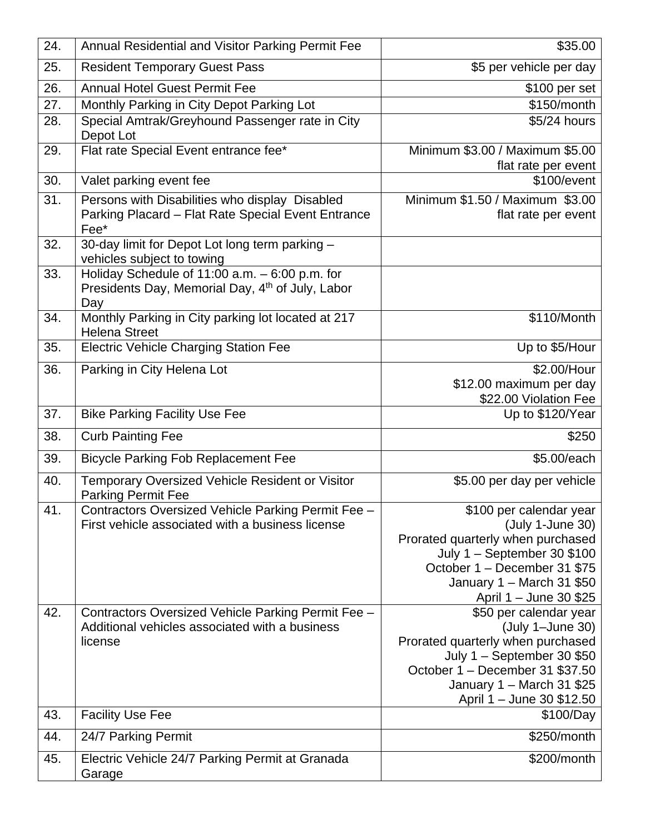| 24. | Annual Residential and Visitor Parking Permit Fee                                                                     | \$35.00                                                                                                                                                                                                      |
|-----|-----------------------------------------------------------------------------------------------------------------------|--------------------------------------------------------------------------------------------------------------------------------------------------------------------------------------------------------------|
| 25. | <b>Resident Temporary Guest Pass</b>                                                                                  | \$5 per vehicle per day                                                                                                                                                                                      |
| 26. | <b>Annual Hotel Guest Permit Fee</b>                                                                                  | \$100 per set                                                                                                                                                                                                |
| 27. | Monthly Parking in City Depot Parking Lot                                                                             | \$150/month                                                                                                                                                                                                  |
| 28. | Special Amtrak/Greyhound Passenger rate in City<br>Depot Lot                                                          | \$5/24 hours                                                                                                                                                                                                 |
| 29. | Flat rate Special Event entrance fee*                                                                                 | Minimum \$3.00 / Maximum \$5.00<br>flat rate per event                                                                                                                                                       |
| 30. | Valet parking event fee                                                                                               | \$100/event                                                                                                                                                                                                  |
| 31. | Persons with Disabilities who display Disabled<br>Parking Placard - Flat Rate Special Event Entrance<br>Fee*          | Minimum \$1.50 / Maximum \$3.00<br>flat rate per event                                                                                                                                                       |
| 32. | 30-day limit for Depot Lot long term parking -<br>vehicles subject to towing                                          |                                                                                                                                                                                                              |
| 33. | Holiday Schedule of 11:00 a.m. - 6:00 p.m. for<br>Presidents Day, Memorial Day, 4 <sup>th</sup> of July, Labor<br>Day |                                                                                                                                                                                                              |
| 34. | Monthly Parking in City parking lot located at 217<br><b>Helena Street</b>                                            | \$110/Month                                                                                                                                                                                                  |
| 35. | <b>Electric Vehicle Charging Station Fee</b>                                                                          | Up to \$5/Hour                                                                                                                                                                                               |
| 36. | Parking in City Helena Lot                                                                                            | \$2.00/Hour<br>\$12.00 maximum per day<br>\$22.00 Violation Fee                                                                                                                                              |
| 37. | <b>Bike Parking Facility Use Fee</b>                                                                                  | Up to \$120/Year                                                                                                                                                                                             |
| 38. | <b>Curb Painting Fee</b>                                                                                              | \$250                                                                                                                                                                                                        |
| 39. | <b>Bicycle Parking Fob Replacement Fee</b>                                                                            | \$5.00/each                                                                                                                                                                                                  |
| 40. | Temporary Oversized Vehicle Resident or Visitor<br><b>Parking Permit Fee</b>                                          | \$5.00 per day per vehicle                                                                                                                                                                                   |
| 41. | Contractors Oversized Vehicle Parking Permit Fee -<br>First vehicle associated with a business license                | \$100 per calendar year<br>(July 1-June 30)<br>Prorated quarterly when purchased<br>July $1 -$ September 30 \$100<br>October 1 - December 31 \$75<br>January 1 - March 31 \$50<br>April 1 – June 30 \$25     |
| 42. | Contractors Oversized Vehicle Parking Permit Fee -<br>Additional vehicles associated with a business<br>license       | \$50 per calendar year<br>(July 1-June 30)<br>Prorated quarterly when purchased<br>July $1 -$ September 30 \$50<br>October 1 - December 31 \$37.50<br>January 1 - March 31 \$25<br>April 1 – June 30 \$12.50 |
| 43. | <b>Facility Use Fee</b>                                                                                               | \$100/Day                                                                                                                                                                                                    |
| 44. | 24/7 Parking Permit                                                                                                   | \$250/month                                                                                                                                                                                                  |
| 45. | Electric Vehicle 24/7 Parking Permit at Granada<br>Garage                                                             | \$200/month                                                                                                                                                                                                  |